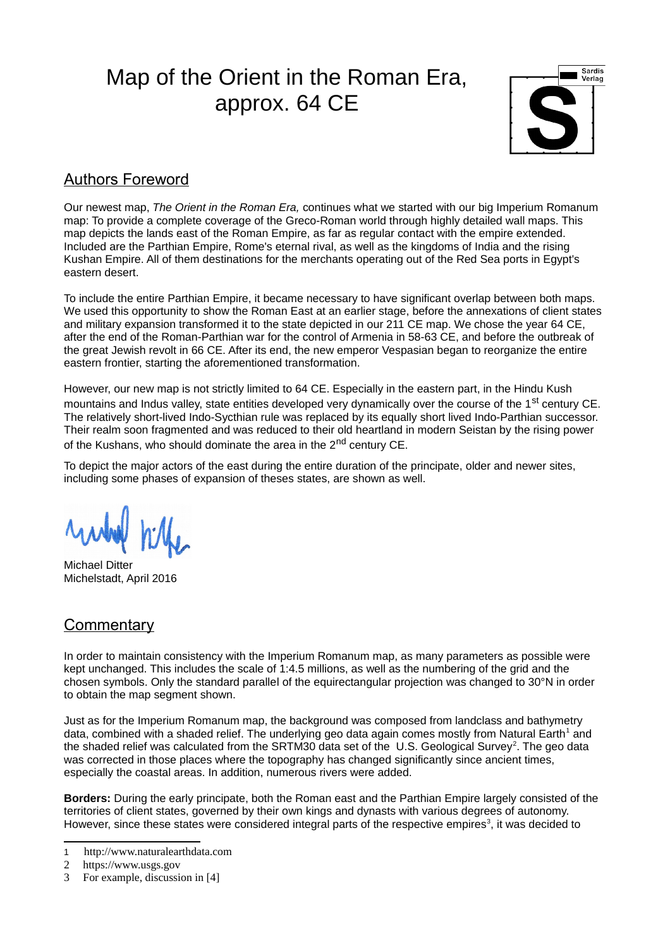# Map of the Orient in the Roman Era, approx. 64 CE



### Authors Foreword

Our newest map, *The Orient in the Roman Era,* continues what we started with our big Imperium Romanum map: To provide a complete coverage of the Greco-Roman world through highly detailed wall maps. This map depicts the lands east of the Roman Empire, as far as regular contact with the empire extended. Included are the Parthian Empire, Rome's eternal rival, as well as the kingdoms of India and the rising Kushan Empire. All of them destinations for the merchants operating out of the Red Sea ports in Egypt's eastern desert.

To include the entire Parthian Empire, it became necessary to have significant overlap between both maps. We used this opportunity to show the Roman East at an earlier stage, before the annexations of client states and military expansion transformed it to the state depicted in our 211 CE map. We chose the year 64 CE, after the end of the Roman-Parthian war for the control of Armenia in 58-63 CE, and before the outbreak of the great Jewish revolt in 66 CE. After its end, the new emperor Vespasian began to reorganize the entire eastern frontier, starting the aforementioned transformation.

However, our new map is not strictly limited to 64 CE. Especially in the eastern part, in the Hindu Kush mountains and Indus valley, state entities developed very dynamically over the course of the 1<sup>st</sup> century CE. The relatively short-lived Indo-Sycthian rule was replaced by its equally short lived Indo-Parthian successor. Their realm soon fragmented and was reduced to their old heartland in modern Seistan by the rising power of the Kushans, who should dominate the area in the 2<sup>nd</sup> century CE.

To depict the major actors of the east during the entire duration of the principate, older and newer sites, including some phases of expansion of theses states, are shown as well.

Michael Ditter Michelstadt, April 2016

### **Commentary**

In order to maintain consistency with the Imperium Romanum map, as many parameters as possible were kept unchanged. This includes the scale of 1:4.5 millions, as well as the numbering of the grid and the chosen symbols. Only the standard parallel of the equirectangular projection was changed to 30°N in order to obtain the map segment shown.

Just as for the Imperium Romanum map, the background was composed from landclass and bathymetry data, combined with a shaded relief. The underlying geo data again comes mostly from Natural Earth $^1$  $^1$  and the shaded relief was calculated from the SRTM30 data set of the U.S. Geological Survey<sup>[2](#page-0-1)</sup>. The geo data was corrected in those places where the topography has changed significantly since ancient times, especially the coastal areas. In addition, numerous rivers were added.

**Borders:** During the early principate, both the Roman east and the Parthian Empire largely consisted of the territories of client states, governed by their own kings and dynasts with various degrees of autonomy. However, since these states were considered integral parts of the respective empires<sup>[3](#page-0-2)</sup>, it was decided to

<span id="page-0-0"></span><sup>1</sup> http://www.naturalearthdata.com

<span id="page-0-1"></span><sup>2</sup> https://www.usgs.gov

<span id="page-0-2"></span><sup>3</sup> For example, discussion in [4]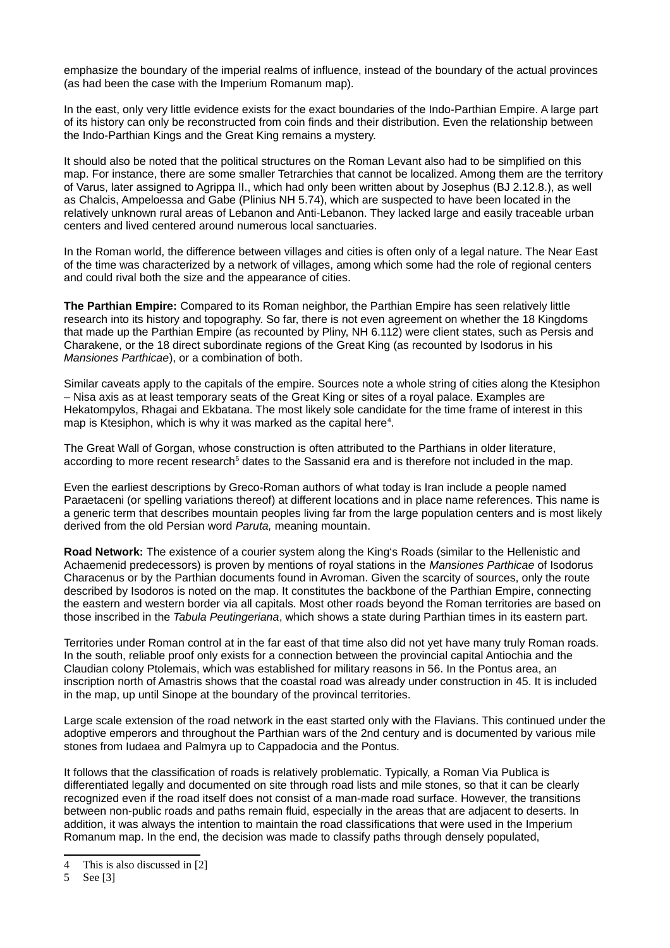emphasize the boundary of the imperial realms of influence, instead of the boundary of the actual provinces (as had been the case with the Imperium Romanum map).

In the east, only very little evidence exists for the exact boundaries of the Indo-Parthian Empire. A large part of its history can only be reconstructed from coin finds and their distribution. Even the relationship between the Indo-Parthian Kings and the Great King remains a mystery.

It should also be noted that the political structures on the Roman Levant also had to be simplified on this map. For instance, there are some smaller Tetrarchies that cannot be localized. Among them are the territory of Varus, later assigned to Agrippa II., which had only been written about by Josephus (BJ 2.12.8.), as well as Chalcis, Ampeloessa and Gabe (Plinius NH 5.74), which are suspected to have been located in the relatively unknown rural areas of Lebanon and Anti-Lebanon. They lacked large and easily traceable urban centers and lived centered around numerous local sanctuaries.

In the Roman world, the difference between villages and cities is often only of a legal nature. The Near East of the time was characterized by a network of villages, among which some had the role of regional centers and could rival both the size and the appearance of cities.

**The Parthian Empire:** Compared to its Roman neighbor, the Parthian Empire has seen relatively little research into its history and topography. So far, there is not even agreement on whether the 18 Kingdoms that made up the Parthian Empire (as recounted by Pliny, NH 6.112) were client states, such as Persis and Charakene, or the 18 direct subordinate regions of the Great King (as recounted by Isodorus in his *Mansiones Parthicae*), or a combination of both.

Similar caveats apply to the capitals of the empire. Sources note a whole string of cities along the Ktesiphon – Nisa axis as at least temporary seats of the Great King or sites of a royal palace. Examples are Hekatompylos, Rhagai and Ekbatana. The most likely sole candidate for the time frame of interest in this map is Ktesiphon, which is why it was marked as the capital here $4$ .

The Great Wall of Gorgan, whose construction is often attributed to the Parthians in older literature, according to more recent research<sup>[5](#page-1-1)</sup> dates to the Sassanid era and is therefore not included in the map.

Even the earliest descriptions by Greco-Roman authors of what today is Iran include a people named Paraetaceni (or spelling variations thereof) at different locations and in place name references. This name is a generic term that describes mountain peoples living far from the large population centers and is most likely derived from the old Persian word *Paruta,* meaning mountain.

**Road Network:** The existence of a courier system along the King's Roads (similar to the Hellenistic and Achaemenid predecessors) is proven by mentions of royal stations in the *Mansiones Parthicae* of Isodorus Characenus or by the Parthian documents found in Avroman. Given the scarcity of sources, only the route described by Isodoros is noted on the map. It constitutes the backbone of the Parthian Empire, connecting the eastern and western border via all capitals. Most other roads beyond the Roman territories are based on those inscribed in the *Tabula Peutingeriana*, which shows a state during Parthian times in its eastern part.

Territories under Roman control at in the far east of that time also did not yet have many truly Roman roads. In the south, reliable proof only exists for a connection between the provincial capital Antiochia and the Claudian colony Ptolemais, which was established for military reasons in 56. In the Pontus area, an inscription north of Amastris shows that the coastal road was already under construction in 45. It is included in the map, up until Sinope at the boundary of the provincal territories.

Large scale extension of the road network in the east started only with the Flavians. This continued under the adoptive emperors and throughout the Parthian wars of the 2nd century and is documented by various mile stones from Iudaea and Palmyra up to Cappadocia and the Pontus.

It follows that the classification of roads is relatively problematic. Typically, a Roman Via Publica is differentiated legally and documented on site through road lists and mile stones, so that it can be clearly recognized even if the road itself does not consist of a man-made road surface. However, the transitions between non-public roads and paths remain fluid, especially in the areas that are adjacent to deserts. In addition, it was always the intention to maintain the road classifications that were used in the Imperium Romanum map. In the end, the decision was made to classify paths through densely populated,

<span id="page-1-0"></span><sup>4</sup> This is also discussed in [2]

<span id="page-1-1"></span><sup>5</sup> See [3]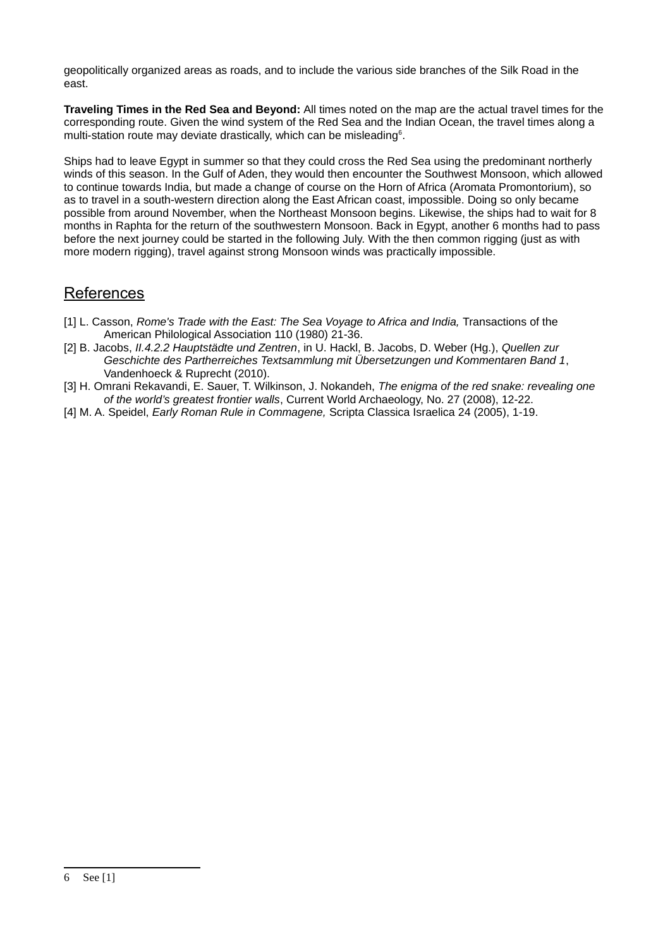geopolitically organized areas as roads, and to include the various side branches of the Silk Road in the east.

**Traveling Times in the Red Sea and Beyond:** All times noted on the map are the actual travel times for the corresponding route. Given the wind system of the Red Sea and the Indian Ocean, the travel times along a multi-station route may deviate drastically, which can be misleading<sup>[6](#page-2-0)</sup>.

Ships had to leave Egypt in summer so that they could cross the Red Sea using the predominant northerly winds of this season. In the Gulf of Aden, they would then encounter the Southwest Monsoon, which allowed to continue towards India, but made a change of course on the Horn of Africa (Aromata Promontorium), so as to travel in a south-western direction along the East African coast, impossible. Doing so only became possible from around November, when the Northeast Monsoon begins. Likewise, the ships had to wait for 8 months in Raphta for the return of the southwestern Monsoon. Back in Egypt, another 6 months had to pass before the next journey could be started in the following July. With the then common rigging (just as with more modern rigging), travel against strong Monsoon winds was practically impossible.

## References

- [1] L. Casson, *Rome's Trade with the East: The Sea Voyage to Africa and India,* Transactions of the American Philological Association 110 (1980) 21-36.
- [2] B. Jacobs, *II.4.2.2 Hauptstädte und Zentren*, in U. Hackl, B. Jacobs, D. Weber (Hg.), *Quellen zur Geschichte des Partherreiches Textsammlung mit Übersetzungen und Kommentaren Band 1*, Vandenhoeck & Ruprecht (2010).
- [3] H. Omrani Rekavandi, E. Sauer, T. Wilkinson, J. Nokandeh, *The enigma of the red snake: revealing one of the world's greatest frontier walls*, Current World Archaeology, No. 27 (2008), 12-22.
- <span id="page-2-0"></span>[4] M. A. Speidel, *Early Roman Rule in Commagene,* Scripta Classica Israelica 24 (2005), 1-19.